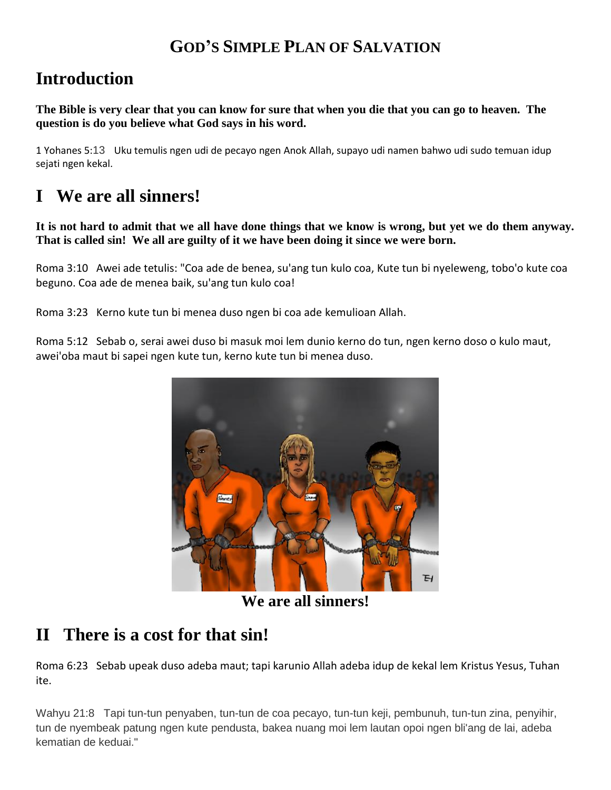### **GOD'S SIMPLE PLAN OF SALVATION**

## **Introduction**

**The Bible is very clear that you can know for sure that when you die that you can go to heaven. The question is do you believe what God says in his word.**

1 Yohanes 5:13Uku temulis ngen udi de pecayo ngen Anok Allah, supayo udi namen bahwo udi sudo temuan idup sejati ngen kekal.

## **I We are all sinners!**

**It is not hard to admit that we all have done things that we know is wrong, but yet we do them anyway. That is called sin! We all are guilty of it we have been doing it since we were born.**

Roma 3:10 Awei ade tetulis: "Coa ade de benea, su'ang tun kulo coa, Kute tun bi nyeleweng, tobo'o kute coa beguno. Coa ade de menea baik, su'ang tun kulo coa!

Roma 3:23 Kerno kute tun bi menea duso ngen bi coa ade kemulioan Allah.

Roma 5:12 Sebab o, serai awei duso bi masuk moi lem dunio kerno do tun, ngen kerno doso o kulo maut, awei'oba maut bi sapei ngen kute tun, kerno kute tun bi menea duso.



**We are all sinners!**

## **II There is a cost for that sin!**

Roma 6:23 Sebab upeak duso adeba maut; tapi karunio Allah adeba idup de kekal lem Kristus Yesus, Tuhan ite.

Wahyu 21:8 Tapi tun-tun penyaben, tun-tun de coa pecayo, tun-tun keji, pembunuh, tun-tun zina, penyihir, tun de nyembeak patung ngen kute pendusta, bakea nuang moi lem lautan opoi ngen bli'ang de lai, adeba kematian de keduai."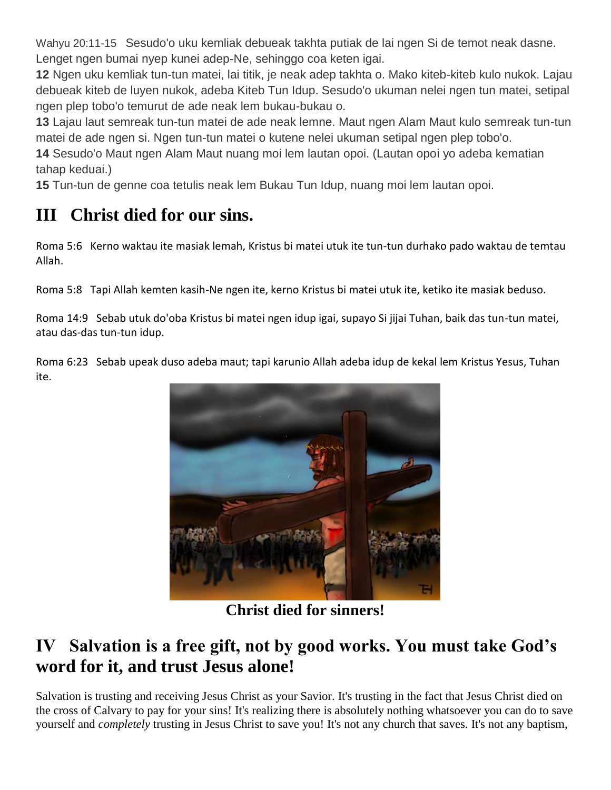Wahyu 20:11-15 Sesudo'o uku kemliak debueak takhta putiak de lai ngen Si de temot neak dasne. Lenget ngen bumai nyep kunei adep-Ne, sehinggo coa keten igai.

**12** Ngen uku kemliak tun-tun matei, lai titik, je neak adep takhta o. Mako kiteb-kiteb kulo nukok. Lajau debueak kiteb de luyen nukok, adeba Kiteb Tun Idup. Sesudo'o ukuman nelei ngen tun matei, setipal ngen plep tobo'o temurut de ade neak lem bukau-bukau o.

**13** Lajau laut semreak tun-tun matei de ade neak lemne. Maut ngen Alam Maut kulo semreak tun-tun matei de ade ngen si. Ngen tun-tun matei o kutene nelei ukuman setipal ngen plep tobo'o.

**14** Sesudo'o Maut ngen Alam Maut nuang moi lem lautan opoi. (Lautan opoi yo adeba kematian tahap keduai.)

**15** Tun-tun de genne coa tetulis neak lem Bukau Tun Idup, nuang moi lem lautan opoi.

# **III Christ died for our sins.**

Roma 5:6 Kerno waktau ite masiak lemah, Kristus bi matei utuk ite tun-tun durhako pado waktau de temtau Allah.

Roma 5:8 Tapi Allah kemten kasih-Ne ngen ite, kerno Kristus bi matei utuk ite, ketiko ite masiak beduso.

Roma 14:9 Sebab utuk do'oba Kristus bi matei ngen idup igai, supayo Si jijai Tuhan, baik das tun-tun matei, atau das-das tun-tun idup.

Roma 6:23 Sebab upeak duso adeba maut; tapi karunio Allah adeba idup de kekal lem Kristus Yesus, Tuhan ite.



**Christ died for sinners!**

## **IV Salvation is a free gift, not by good works. You must take God's word for it, and trust Jesus alone!**

Salvation is trusting and receiving Jesus Christ as your Savior. It's trusting in the fact that Jesus Christ died on the cross of Calvary to pay for your sins! It's realizing there is absolutely nothing whatsoever you can do to save yourself and *completely* trusting in Jesus Christ to save you! It's not any church that saves. It's not any baptism,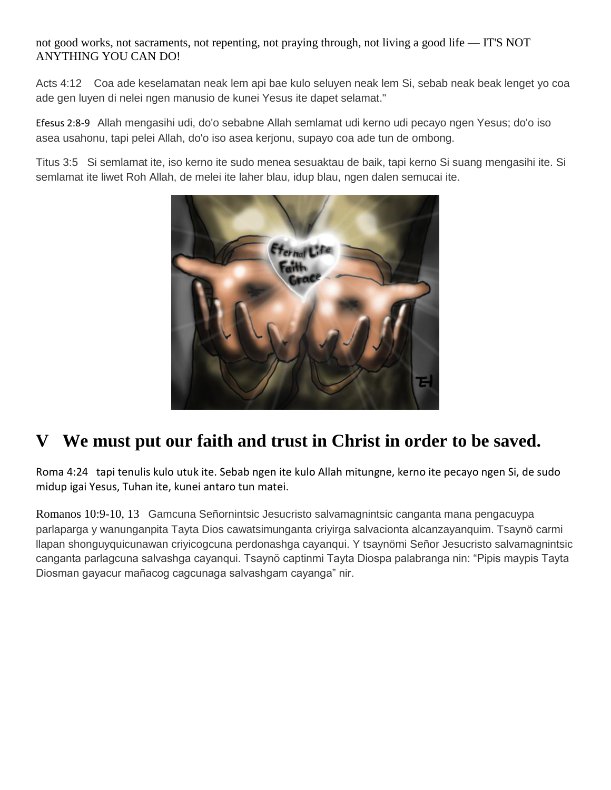not good works, not sacraments, not repenting, not praying through, not living a good life — IT'S NOT ANYTHING YOU CAN DO!

Acts 4:12 Coa ade keselamatan neak lem api bae kulo seluyen neak lem Si, sebab neak beak lenget yo coa ade gen luyen di nelei ngen manusio de kunei Yesus ite dapet selamat."

Efesus 2:8-9 Allah mengasihi udi, do'o sebabne Allah semlamat udi kerno udi pecayo ngen Yesus; do'o iso asea usahonu, tapi pelei Allah, do'o iso asea kerjonu, supayo coa ade tun de ombong.

Titus 3:5 Si semlamat ite, iso kerno ite sudo menea sesuaktau de baik, tapi kerno Si suang mengasihi ite. Si semlamat ite liwet Roh Allah, de melei ite laher blau, idup blau, ngen dalen semucai ite.



## **V We must put our faith and trust in Christ in order to be saved.**

Roma 4:24 tapi tenulis kulo utuk ite. Sebab ngen ite kulo Allah mitungne, kerno ite pecayo ngen Si, de sudo midup igai Yesus, Tuhan ite, kunei antaro tun matei.

Romanos 10:9-10, 13 Gamcuna Señornintsic Jesucristo salvamagnintsic canganta mana pengacuypa parlaparga y wanunganpita Tayta Dios cawatsimunganta criyirga salvacionta alcanzayanquim. Tsaynö carmi llapan shonguyquicunawan criyicogcuna perdonashga cayanqui. Y tsaynömi Señor Jesucristo salvamagnintsic canganta parlagcuna salvashga cayanqui. Tsaynö captinmi Tayta Diospa palabranga nin: "Pipis maypis Tayta Diosman gayacur mañacog cagcunaga salvashgam cayanga" nir.